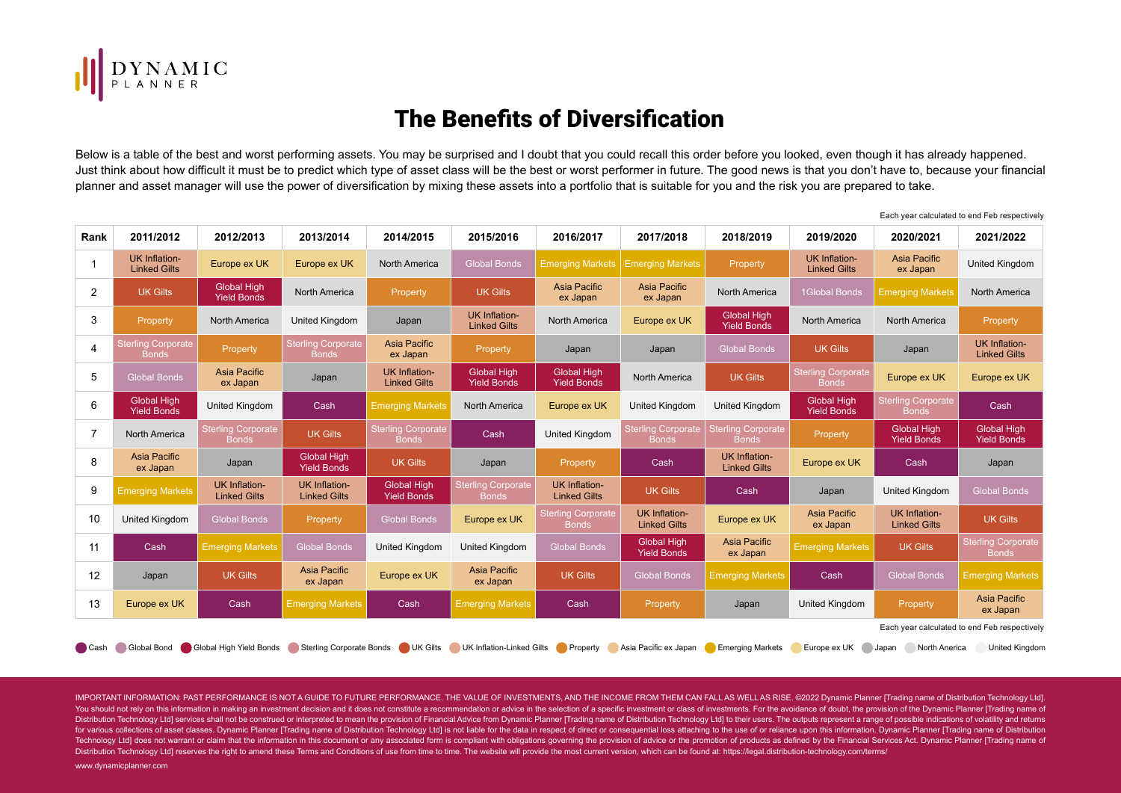

## The Benefits of Diversification

Below is a table of the best and worst performing assets. You may be surprised and I doubt that you could recall this order before you looked, even though it has already happened. Just think about how difficult it must be to predict which type of asset class will be the best or worst performer in future. The good news is that you don't have to, because your financial planner and asset manager will use the power of diversification by mixing these assets into a portfolio that is suitable for you and the risk you are prepared to take.

Each year calculated to end Feb respectively

| Rank                                                                                                                                                                                                                   | 2011/2012                                    | 2012/2013                                   | 2013/2014                                   | 2014/2015                                   | 2015/2016                                   | 2016/2017                                   | 2017/2018                                   | 2018/2019                                 | 2019/2020                                   | 2020/2021                                   | 2021/2022                                   |
|------------------------------------------------------------------------------------------------------------------------------------------------------------------------------------------------------------------------|----------------------------------------------|---------------------------------------------|---------------------------------------------|---------------------------------------------|---------------------------------------------|---------------------------------------------|---------------------------------------------|-------------------------------------------|---------------------------------------------|---------------------------------------------|---------------------------------------------|
|                                                                                                                                                                                                                        | <b>UK Inflation-</b><br><b>Linked Gilts</b>  | Europe ex UK                                | Europe ex UK                                | North America                               | <b>Global Bonds</b>                         | <b>Emerging Markets</b>                     | <b>Emerging Markets</b>                     | Property                                  | <b>UK Inflation-</b><br><b>Linked Gilts</b> | Asia Pacific<br>ex Japan                    | United Kingdom                              |
| 2                                                                                                                                                                                                                      | <b>UK Gilts</b>                              | <b>Global High</b><br><b>Yield Bonds</b>    | <b>North America</b>                        | Property                                    | <b>UK Gilts</b>                             | Asia Pacific<br>ex Japan                    | Asia Pacific<br>ex Japan                    | <b>North America</b>                      | <b>1Global Bonds</b>                        | <b>Emerging Markets</b>                     | <b>North America</b>                        |
| 3                                                                                                                                                                                                                      | Property                                     | <b>North America</b>                        | <b>United Kingdom</b>                       | Japan                                       | <b>UK Inflation-</b><br><b>Linked Gilts</b> | North America                               | Europe ex UK                                | <b>Global High</b><br><b>Yield Bonds</b>  | <b>North America</b>                        | <b>North America</b>                        | Property                                    |
| $\overline{4}$                                                                                                                                                                                                         | <b>Sterling Corporate</b><br><b>Bonds</b>    | Property                                    | <b>Sterling Corporate</b><br><b>Bonds</b>   | Asia Pacific<br>ex Japan                    | Property                                    | Japan                                       | Japan                                       | <b>Global Bonds</b>                       | <b>UK Gilts</b>                             | Japan                                       | <b>UK Inflation-</b><br><b>Linked Gilts</b> |
| 5                                                                                                                                                                                                                      | <b>Global Bonds</b>                          | <b>Asia Pacific</b><br>ex Japan             | Japan                                       | <b>UK Inflation-</b><br><b>Linked Gilts</b> | <b>Global High</b><br><b>Yield Bonds</b>    | <b>Global High</b><br><b>Yield Bonds</b>    | <b>North America</b>                        | <b>UK Gilts</b>                           | <b>Sterling Corporate</b><br><b>Bonds</b>   | Europe ex UK                                | Europe ex UK                                |
| 6                                                                                                                                                                                                                      | <b>Global High</b><br><b>Yield Bonds</b>     | <b>United Kingdom</b>                       | Cash                                        | <b>Emerging Markets</b>                     | <b>North America</b>                        | Europe ex UK                                | <b>United Kingdom</b>                       | United Kingdom                            | <b>Global High</b><br><b>Yield Bonds</b>    | <b>Sterling Corporate</b><br><b>Bonds</b>   | Cash                                        |
| 7                                                                                                                                                                                                                      | <b>North America</b>                         | <b>Sterling Corporate</b><br><b>Bonds</b>   | <b>UK Gilts</b>                             | <b>Sterling Corporate</b><br><b>Bonds</b>   | Cash                                        | United Kingdom                              | <b>Sterling Corporate</b><br><b>Bonds</b>   | <b>Sterling Corporate</b><br><b>Bonds</b> | <b>Property</b>                             | <b>Global High</b><br><b>Yield Bonds</b>    | <b>Global High</b><br><b>Yield Bonds</b>    |
| 8                                                                                                                                                                                                                      | Asia Pacific<br>ex Japan                     | Japan                                       | <b>Global High</b><br><b>Yield Bonds</b>    | <b>UK Gilts</b>                             | Japan                                       | Property                                    | Cash                                        | UK Inflation-<br><b>Linked Gilts</b>      | Europe ex UK                                | Cash                                        | Japan                                       |
| 9                                                                                                                                                                                                                      | <b>Emerging Markets</b>                      | <b>UK Inflation-</b><br><b>Linked Gilts</b> | <b>UK Inflation-</b><br><b>Linked Gilts</b> | <b>Global High</b><br><b>Yield Bonds</b>    | <b>Sterling Corporate</b><br><b>Bonds</b>   | <b>UK Inflation-</b><br><b>Linked Gilts</b> | <b>UK Gilts</b>                             | Cash                                      | Japan                                       | <b>United Kingdom</b>                       | <b>Global Bonds</b>                         |
| 10                                                                                                                                                                                                                     | United Kingdom                               | <b>Global Bonds</b>                         | Property                                    | <b>Global Bonds</b>                         | Europe ex UK                                | <b>Sterling Corporate</b><br><b>Bonds</b>   | <b>UK Inflation-</b><br><b>Linked Gilts</b> | Europe ex UK                              | Asia Pacific<br>ex Japan                    | <b>UK Inflation-</b><br><b>Linked Gilts</b> | <b>UK Gilts</b>                             |
| 11                                                                                                                                                                                                                     | Cash                                         | <b>Emerging Markets</b>                     | <b>Global Bonds</b>                         | <b>United Kingdom</b>                       | <b>United Kingdom</b>                       | <b>Global Bonds</b>                         | <b>Global High</b><br><b>Yield Bonds</b>    | Asia Pacific<br>ex Japan                  | <b>Emerging Markets</b>                     | <b>UK Gilts</b>                             | <b>Sterling Corporate</b><br><b>Bonds</b>   |
| 12                                                                                                                                                                                                                     | Japan                                        | <b>UK Gilts</b>                             | Asia Pacific<br>ex Japan                    | Europe ex UK                                | Asia Pacific<br>ex Japan                    | <b>UK Gilts</b>                             | <b>Global Bonds</b>                         | <b>Emerging Markets</b>                   | Cash                                        | <b>Global Bonds</b>                         | <b>Emerging Markets</b>                     |
| 13                                                                                                                                                                                                                     | Europe ex UK                                 | Cash                                        | <b>Emerging Markets</b>                     | Cash                                        | <b>Emerging Markets</b>                     | Cash                                        | Property                                    | Japan                                     | United Kingdom                              | Property                                    | Asia Pacific<br>ex Japan                    |
|                                                                                                                                                                                                                        | Each year calculated to end Feb respectively |                                             |                                             |                                             |                                             |                                             |                                             |                                           |                                             |                                             |                                             |
| Global Bond<br>Global High Yield Bonds<br>Sterling Corporate Bonds UK Gilts UK Inflation-Linked Gilts Property<br>Asia Pacific ex Japan<br><b>Emerging Markets</b><br>Europe ex UK<br>North Anerica<br>█ Cash<br>Japan |                                              |                                             |                                             |                                             |                                             |                                             |                                             |                                           | <b>United Kingdom</b>                       |                                             |                                             |

IMPORTANT INFORMATION: PAST PERFORMANCE IS NOT A GUIDE TO FUTURE PERFORMANCE. THE VALUE OF INVESTMENTS, AND THE INCOME FROM THEM CAN FALL AS WELL AS RISE. ©2022 Dynamic Planner [Trading name of Distribution Technology Ltd]. You should not rely on this information in making an investment decision and it does not constitute a recommendation or advice in the selection of a specific investment or class of investments. For the avoidance of doubt, Distribution Technology Ltd] services shall not be construed or interpreted to mean the provision of Financial Advice from Dynamic Planner [Trading name of Distribution Technology Ltd] to their users. The outputs represent for various collections of asset classes. Dynamic Planner [Trading name of Distribution Technology Ltd] is not liable for the data in respect of direct or consequential loss attaching to the use of or reliance upon this in Technology Ltd] does not warrant or claim that the information in this document or any associated form is compliant with obligations governing the provision of advice or the promotion of products as defined by the Financia Distribution Technology Ltd] reserves the right to amend these Terms and Conditions of use from time to time. The website will provide the most current version, which can be found at: https://legal.distribution-technology.

www.dynamicplanner.com